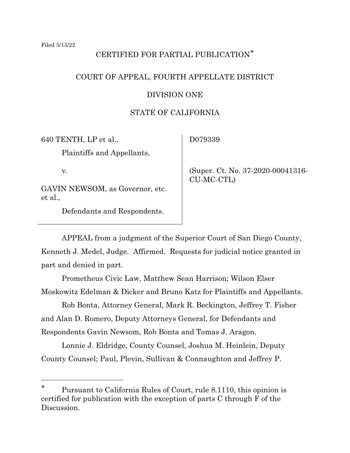# CERTIFIED FOR PARTIAL PUBLICATION[\\*](#page-0-0)

## COURT OF APPEAL, FOURTH APPELLATE DISTRICT

### DIVISION ONE

## STATE OF CALIFORNIA

640 TENTH, LP et al.,

Plaintiffs and Appellants,

v.

GAVIN NEWSOM, as Governor, etc. et al.,

Defendants and Respondents.

D079339

 (Super. Ct. No. 37-2020-00041316- CU-MC-CTL)

APPEAL from a judgment of the Superior Court of San Diego County, Kenneth J. Medel, Judge. Affirmed. Requests for judicial notice granted in part and denied in part.

Prometheus Civic Law, Matthew Sean Harrison; Wilson Elser Moskowitz Edelman & Dicker and Bruno Katz for Plaintiffs and Appellants.

Rob Bonta, Attorney General, Mark R. Beckington, Jeffrey T. Fisher and Alan D. Romero, Deputy Attorneys General, for Defendants and Respondents Gavin Newsom, Rob Bonta and Tomas J. Aragon.

Lonnie J. Eldridge, County Counsel, Joshua M. Heinlein, Deputy County Counsel; Paul, Plevin, Sullivan & Connaughton and Jeffrey P.

<span id="page-0-0"></span>Pursuant to California Rules of Court, rule 8.1110, this opinion is certified for publication with the exception of parts C through F of the Discussion.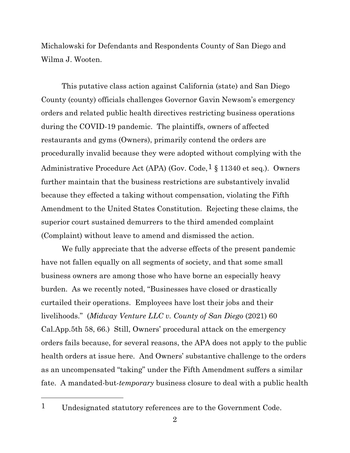Michalowski for Defendants and Respondents County of San Diego and Wilma J. Wooten.

This putative class action against California (state) and San Diego County (county) officials challenges Governor Gavin Newsom's emergency orders and related public health directives restricting business operations during the COVID-19 pandemic. The plaintiffs, owners of affected restaurants and gyms (Owners), primarily contend the orders are procedurally invalid because they were adopted without complying with the Administrative Procedure Act (APA) (Gov. Code,  $\frac{1}{8}$  $\frac{1}{8}$  $\frac{1}{8}$  11340 et seq.). Owners further maintain that the business restrictions are substantively invalid because they effected a taking without compensation, violating the Fifth Amendment to the United States Constitution. Rejecting these claims, the superior court sustained demurrers to the third amended complaint (Complaint) without leave to amend and dismissed the action.

We fully appreciate that the adverse effects of the present pandemic have not fallen equally on all segments of society, and that some small business owners are among those who have borne an especially heavy burden. As we recently noted, "Businesses have closed or drastically curtailed their operations. Employees have lost their jobs and their livelihoods." (*Midway Venture LLC v. County of San Diego* (2021) 60 Cal.App.5th 58, 66.) Still, Owners' procedural attack on the emergency orders fails because, for several reasons, the APA does not apply to the public health orders at issue here. And Owners' substantive challenge to the orders as an uncompensated "taking" under the Fifth Amendment suffers a similar fate. A mandated-but-*temporary* business closure to deal with a public health

<span id="page-1-0"></span><sup>1</sup> Undesignated statutory references are to the Government Code.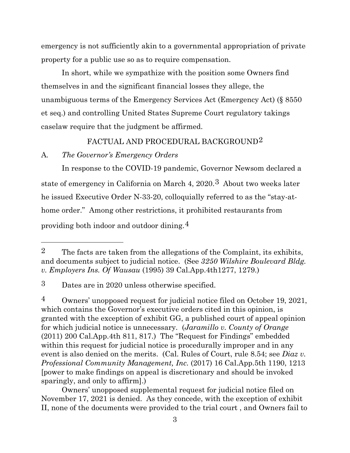emergency is not sufficiently akin to a governmental appropriation of private property for a public use so as to require compensation.

In short, while we sympathize with the position some Owners find themselves in and the significant financial losses they allege, the unambiguous terms of the Emergency Services Act (Emergency Act) (§ 8550 et seq.) and controlling United States Supreme Court regulatory takings caselaw require that the judgment be affirmed.

#### FACTUAL AND PROCEDURAL BACKGROUND[2](#page-2-0)

#### A*. The Governor's Emergency Orders*

In response to the COVID-19 pandemic, Governor Newsom declared a state of emergency in California on March 4, 2020.[3](#page-2-1) About two weeks later he issued Executive Order N-33-20, colloquially referred to as the "stay-athome order." Among other restrictions, it prohibited restaurants from providing both indoor and outdoor dining.[4](#page-2-2)

Owners' unopposed supplemental request for judicial notice filed on November 17, 2021 is denied. As they concede, with the exception of exhibit II, none of the documents were provided to the trial court , and Owners fail to

<span id="page-2-0"></span><sup>2</sup> The facts are taken from the allegations of the Complaint, its exhibits, and documents subject to judicial notice. (See *3250 Wilshire Boulevard Bldg. v. Employers Ins. Of Wausau* (1995) 39 Cal.App.4th1277, 1279.)

<span id="page-2-1"></span><sup>3</sup> Dates are in 2020 unless otherwise specified.

<span id="page-2-2"></span><sup>4</sup> Owners' unopposed request for judicial notice filed on October 19, 2021, which contains the Governor's executive orders cited in this opinion, is granted with the exception of exhibit GG, a published court of appeal opinion for which judicial notice is unnecessary. (*Jaramillo v. County of Orange*  (2011) 200 Cal.App.4th 811, 817.) The "Request for Findings" embedded within this request for judicial notice is procedurally improper and in any event is also denied on the merits. (Cal. Rules of Court, rule 8.54; see *Diaz v. Professional Community Management, Inc.* (2017) 16 Cal.App.5th 1190, 1213 [power to make findings on appeal is discretionary and should be invoked sparingly, and only to affirm].)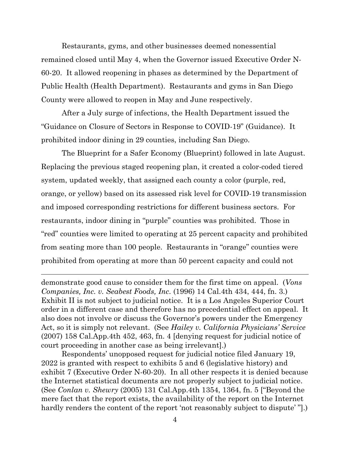Restaurants, gyms, and other businesses deemed nonessential remained closed until May 4, when the Governor issued Executive Order N-60-20. It allowed reopening in phases as determined by the Department of Public Health (Health Department). Restaurants and gyms in San Diego County were allowed to reopen in May and June respectively.

After a July surge of infections, the Health Department issued the "Guidance on Closure of Sectors in Response to COVID-19" (Guidance). It prohibited indoor dining in 29 counties, including San Diego.

The Blueprint for a Safer Economy (Blueprint) followed in late August. Replacing the previous staged reopening plan, it created a color-coded tiered system, updated weekly, that assigned each county a color (purple, red, orange, or yellow) based on its assessed risk level for COVID-19 transmission and imposed corresponding restrictions for different business sectors. For restaurants, indoor dining in "purple" counties was prohibited. Those in "red" counties were limited to operating at 25 percent capacity and prohibited from seating more than 100 people. Restaurants in "orange" counties were prohibited from operating at more than 50 percent capacity and could not

demonstrate good cause to consider them for the first time on appeal. (*Vons Companies, Inc. v. Seabest Foods, Inc.* (1996) 14 Cal.4th 434, 444, fn. 3.) Exhibit II is not subject to judicial notice. It is a Los Angeles Superior Court order in a different case and therefore has no precedential effect on appeal. It also does not involve or discuss the Governor's powers under the Emergency Act, so it is simply not relevant. (See *Hailey v. California Physicians' Service*  (2007) 158 Cal.App.4th 452, 463, fn. 4 [denying request for judicial notice of court proceeding in another case as being irrelevant].)

Respondents' unopposed request for judicial notice filed January 19, 2022 is granted with respect to exhibits 5 and 6 (legislative history) and exhibit 7 (Executive Order N-60-20). In all other respects it is denied because the Internet statistical documents are not properly subject to judicial notice. (See *Conlan v. Shewry* (2005) 131 Cal.App.4th 1354, 1364, fn. 5 ["Beyond the mere fact that the report exists, the availability of the report on the Internet hardly renders the content of the report 'not reasonably subject to dispute'".)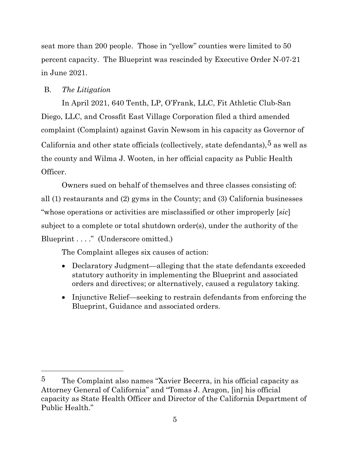seat more than 200 people. Those in "yellow" counties were limited to 50 percent capacity. The Blueprint was rescinded by Executive Order N-07-21 in June 2021.

## B. *The Litigation*

In April 2021, 640 Tenth, LP, O'Frank, LLC, Fit Athletic Club-San Diego, LLC, and Crossfit East Village Corporation filed a third amended complaint (Complaint) against Gavin Newsom in his capacity as Governor of California and other state officials (collectively, state defendants),  $5$  as well as the county and Wilma J. Wooten, in her official capacity as Public Health Officer.

Owners sued on behalf of themselves and three classes consisting of: all (1) restaurants and (2) gyms in the County; and (3) California businesses "whose operations or activities are misclassified or other improperly [*sic*] subject to a complete or total shutdown order(s), under the authority of the Blueprint . . . ." (Underscore omitted.)

The Complaint alleges six causes of action:

- Declaratory Judgment—alleging that the state defendants exceeded statutory authority in implementing the Blueprint and associated orders and directives; or alternatively, caused a regulatory taking.
- Injunctive Relief—seeking to restrain defendants from enforcing the Blueprint, Guidance and associated orders.

<span id="page-4-0"></span><sup>5</sup> The Complaint also names "Xavier Becerra, in his official capacity as Attorney General of California" and "Tomas J. Aragon, [in] his official capacity as State Health Officer and Director of the California Department of Public Health."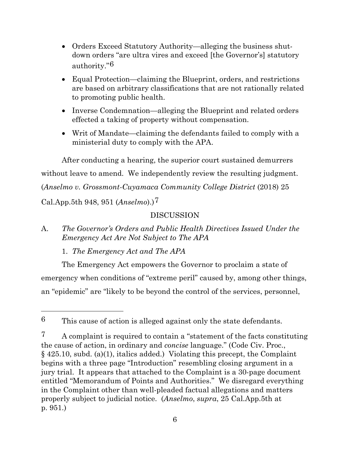- Orders Exceed Statutory Authority—alleging the business shutdown orders "are ultra vires and exceed [the Governor's] statutory authority."[6](#page-5-0)
- Equal Protection—claiming the Blueprint, orders, and restrictions are based on arbitrary classifications that are not rationally related to promoting public health.
- Inverse Condemnation—alleging the Blueprint and related orders effected a taking of property without compensation.
- Writ of Mandate—claiming the defendants failed to comply with a ministerial duty to comply with the APA.

After conducting a hearing, the superior court sustained demurrers without leave to amend. We independently review the resulting judgment. (*Anselmo v. Grossmont-Cuyamaca Community College District* (2018) 25

Cal.App.5th 948, 951 (*Anselmo*).)[7](#page-5-1)

# DISCUSSION

A. *The Governor's Orders and Public Health Directives Issued Under the Emergency Act Are Not Subject to The APA*

1. *The Emergency Act and The APA*

The Emergency Act empowers the Governor to proclaim a state of emergency when conditions of "extreme peril" caused by, among other things, an "epidemic" are "likely to be beyond the control of the services, personnel,

<span id="page-5-0"></span><sup>6</sup> This cause of action is alleged against only the state defendants.

<span id="page-5-1"></span><sup>&</sup>lt;sup>7</sup> A complaint is required to contain a "statement of the facts constituting the cause of action, in ordinary and *concise* language." (Code Civ. Proc., § 425.10, subd. (a)(1), italics added.) Violating this precept, the Complaint begins with a three page "Introduction" resembling closing argument in a jury trial. It appears that attached to the Complaint is a 30-page document entitled "Memorandum of Points and Authorities." We disregard everything in the Complaint other than well-pleaded factual allegations and matters properly subject to judicial notice. (*Anselmo*, *supra*, 25 Cal.App.5th at p. 951.)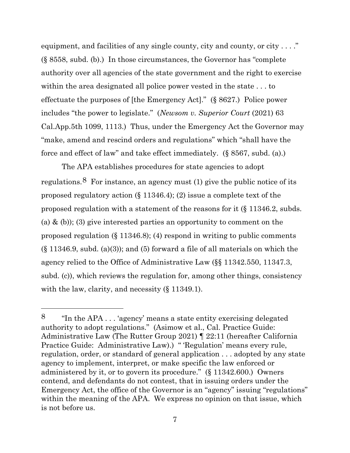equipment, and facilities of any single county, city and county, or city  $\dots$ ." (§ 8558, subd. (b).) In those circumstances, the Governor has "complete authority over all agencies of the state government and the right to exercise within the area designated all police power vested in the state . . . to effectuate the purposes of [the Emergency Act]." (§ 8627.) Police power includes "the power to legislate." (*Newsom v. Superior Court* (2021) 63 Cal.App.5th 1099, 1113.) Thus, under the Emergency Act the Governor may "make, amend and rescind orders and regulations" which "shall have the force and effect of law" and take effect immediately. (§ 8567, subd. (a).)

The APA establishes procedures for state agencies to adopt regulations.<sup>[8](#page-6-0)</sup> For instance, an agency must (1) give the public notice of its proposed regulatory action (§ 11346.4); (2) issue a complete text of the proposed regulation with a statement of the reasons for it (§ 11346.2, subds. (a) & (b)); (3) give interested parties an opportunity to comment on the proposed regulation (§ 11346.8); (4) respond in writing to public comments  $(\S 11346.9, \text{subd.} (a)(3))$ ; and  $(5)$  forward a file of all materials on which the agency relied to the Office of Administrative Law (§§ 11342.550, 11347.3, subd. (c)), which reviews the regulation for, among other things, consistency with the law, clarity, and necessity (§ 11349.1).

<span id="page-6-0"></span><sup>8</sup> "In the APA . . . 'agency' means a state entity exercising delegated authority to adopt regulations." (Asimow et al., Cal. Practice Guide: Administrative Law (The Rutter Group 2021) ¶ 22:11 (hereafter California Practice Guide: Administrative Law).) "Regulation' means every rule, regulation, order, or standard of general application . . . adopted by any state agency to implement, interpret, or make specific the law enforced or administered by it, or to govern its procedure." (§ 11342.600.) Owners contend, and defendants do not contest, that in issuing orders under the Emergency Act, the office of the Governor is an "agency" issuing "regulations" within the meaning of the APA. We express no opinion on that issue, which is not before us.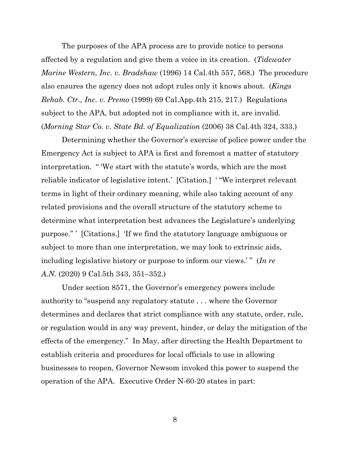The purposes of the APA process are to provide notice to persons affected by a regulation and give them a voice in its creation. (*Tidewater Marine Western, Inc. v. Bradshaw* (1996) 14 Cal.4th 557, 568.) The procedure also ensures the agency does not adopt rules only it knows about. (*Kings Rehab. Ctr., Inc. v. Premo* (1999) 69 Cal.App.4th 215, 217.) Regulations subject to the APA, but adopted not in compliance with it, are invalid. (*Morning Star Co. v. State Bd. of Equalization* (2006) 38 Cal.4th 324, 333.)

Determining whether the Governor's exercise of police power under the Emergency Act is subject to APA is first and foremost a matter of statutory interpretation. " 'We start with the statute's words, which are the most reliable indicator of legislative intent.' [Citation.] ' "We interpret relevant terms in light of their ordinary meaning, while also taking account of any related provisions and the overall structure of the statutory scheme to determine what interpretation best advances the Legislature's underlying purpose." ' [Citations.] 'If we find the statutory language ambiguous or subject to more than one interpretation, we may look to extrinsic aids, including legislative history or purpose to inform our views.'" (*In re A.N.* (2020) 9 Cal.5th 343, 351–352.)

Under section 8571, the Governor's emergency powers include authority to "suspend any regulatory statute . . . where the Governor determines and declares that strict compliance with any statute, order, rule, or regulation would in any way prevent, hinder, or delay the mitigation of the effects of the emergency." In May, after directing the Health Department to establish criteria and procedures for local officials to use in allowing businesses to reopen, Governor Newsom invoked this power to suspend the operation of the APA. Executive Order N-60-20 states in part: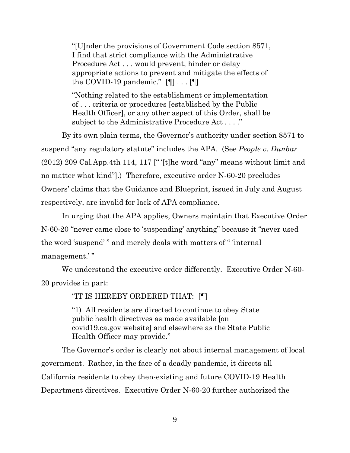"[U]nder the provisions of Government Code section 8571, I find that strict compliance with the Administrative Procedure Act . . . would prevent, hinder or delay appropriate actions to prevent and mitigate the effects of the COVID-19 pandemic."  $[\P]$ ...  $[\P]$ 

"Nothing related to the establishment or implementation of . . . criteria or procedures [established by the Public Health Officer], or any other aspect of this Order, shall be subject to the Administrative Procedure Act . . . ."

By its own plain terms, the Governor's authority under section 8571 to suspend "any regulatory statute" includes the APA. (See *People v. Dunbar*  (2012) 209 Cal.App.4th 114, 117  $\vert$ " '[t]he word "any" means without limit and no matter what kind"].) Therefore, executive order N-60-20 precludes Owners' claims that the Guidance and Blueprint, issued in July and August respectively, are invalid for lack of APA compliance.

In urging that the APA applies, Owners maintain that Executive Order N-60-20 "never came close to 'suspending' anything" because it "never used the word 'suspend' " and merely deals with matters of " 'internal management.' "

We understand the executive order differently. Executive Order N-60- 20 provides in part:

"IT IS HEREBY ORDERED THAT: [¶]

"1) All residents are directed to continue to obey State public health directives as made available [on covid19.ca.gov website] and elsewhere as the State Public Health Officer may provide."

The Governor's order is clearly not about internal management of local government. Rather, in the face of a deadly pandemic, it directs all California residents to obey then-existing and future COVID-19 Health Department directives. Executive Order N-60-20 further authorized the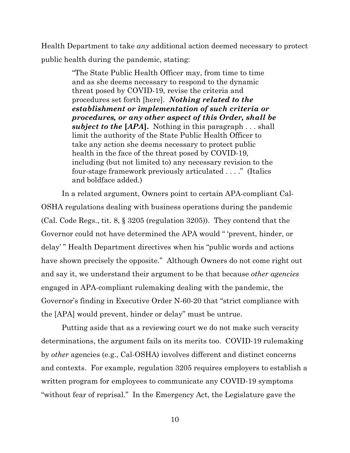Health Department to take *any* additional action deemed necessary to protect public health during the pandemic, stating:

> "The State Public Health Officer may, from time to time and as she deems necessary to respond to the dynamic threat posed by COVID-19, revise the criteria and procedures set forth [here]. *Nothing related to the establishment or implementation of such criteria or procedures, or any other aspect of this Order, shall be subject to the* **[***APA***].** Nothing in this paragraph . . . shall limit the authority of the State Public Health Officer to take any action she deems necessary to protect public health in the face of the threat posed by COVID-19*,*  including (but not limited to) any necessary revision to the four-stage framework previously articulated . . . ." (Italics and boldface added.)

In a related argument, Owners point to certain APA-compliant Cal-OSHA regulations dealing with business operations during the pandemic (Cal. Code Regs., tit. 8, § 3205 (regulation 3205)). They contend that the Governor could not have determined the APA would " 'prevent, hinder, or delay' " Health Department directives when his "public words and actions have shown precisely the opposite." Although Owners do not come right out and say it, we understand their argument to be that because *other agencies* engaged in APA-compliant rulemaking dealing with the pandemic, the Governor's finding in Executive Order N-60-20 that "strict compliance with the [APA] would prevent, hinder or delay" must be untrue.

Putting aside that as a reviewing court we do not make such veracity determinations, the argument fails on its merits too. COVID-19 rulemaking by *other* agencies (e.g., Cal-OSHA) involves different and distinct concerns and contexts. For example, regulation 3205 requires employers to establish a written program for employees to communicate any COVID-19 symptoms "without fear of reprisal." In the Emergency Act, the Legislature gave the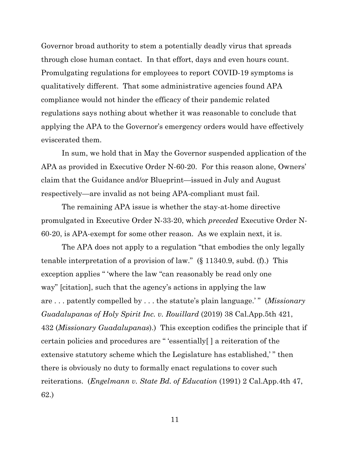Governor broad authority to stem a potentially deadly virus that spreads through close human contact. In that effort, days and even hours count. Promulgating regulations for employees to report COVID-19 symptoms is qualitatively different. That some administrative agencies found APA compliance would not hinder the efficacy of their pandemic related regulations says nothing about whether it was reasonable to conclude that applying the APA to the Governor's emergency orders would have effectively eviscerated them.

In sum, we hold that in May the Governor suspended application of the APA as provided in Executive Order N-60-20. For this reason alone, Owners' claim that the Guidance and/or Blueprint—issued in July and August respectively—are invalid as not being APA-compliant must fail.

The remaining APA issue is whether the stay-at-home directive promulgated in Executive Order N-33-20, which *preceded* Executive Order N-60-20, is APA-exempt for some other reason. As we explain next, it is.

The APA does not apply to a regulation "that embodies the only legally tenable interpretation of a provision of law." (§ 11340.9, subd. (f).) This exception applies " 'where the law "can reasonably be read only one way" [citation], such that the agency's actions in applying the law are . . . patently compelled by . . . the statute's plain language.' " (*Missionary Guadalupanas of Holy Spirit Inc. v. Rouillard* (2019) 38 Cal.App.5th 421, 432 (*Missionary Guadalupanas*).) This exception codifies the principle that if certain policies and procedures are " 'essentially[ ] a reiteration of the extensive statutory scheme which the Legislature has established,' " then there is obviously no duty to formally enact regulations to cover such reiterations. (*Engelmann v. State Bd. of Education* (1991) 2 Cal.App.4th 47, 62.)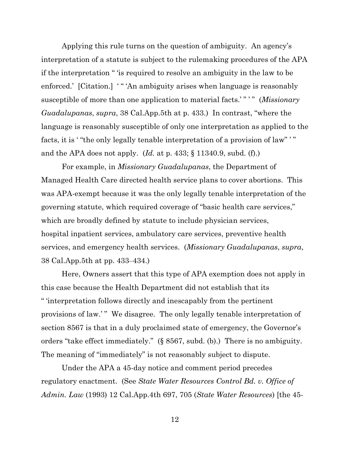Applying this rule turns on the question of ambiguity. An agency's interpretation of a statute is subject to the rulemaking procedures of the APA if the interpretation " 'is required to resolve an ambiguity in the law to be enforced.' [Citation.] '" 'An ambiguity arises when language is reasonably susceptible of more than one application to material facts.'" " " (Missionary *Guadalupanas*, *supra*, 38 Cal.App.5th at p. 433.) In contrast, "where the language is reasonably susceptible of only one interpretation as applied to the facts, it is ' "the only legally tenable interpretation of a provision of law" ' " and the APA does not apply. (*Id.* at p. 433; § 11340.9, subd. (f).)

For example, in *Missionary Guadalupanas*, the Department of Managed Health Care directed health service plans to cover abortions. This was APA-exempt because it was the only legally tenable interpretation of the governing statute, which required coverage of "basic health care services," which are broadly defined by statute to include physician services, hospital inpatient services, ambulatory care services, preventive health services, and emergency health services. (*Missionary Guadalupanas*, *supra*, 38 Cal.App.5th at pp. 433‒434.)

Here, Owners assert that this type of APA exemption does not apply in this case because the Health Department did not establish that its " 'interpretation follows directly and inescapably from the pertinent provisions of law.' " We disagree. The only legally tenable interpretation of section 8567 is that in a duly proclaimed state of emergency, the Governor's orders "take effect immediately." (§ 8567, subd. (b).) There is no ambiguity. The meaning of "immediately" is not reasonably subject to dispute.

Under the APA a 45-day notice and comment period precedes regulatory enactment. (See *State Water Resources Control Bd. v. Office of Admin. Law* (1993) 12 Cal.App.4th 697, 705 (*State Water Resources*) [the 45-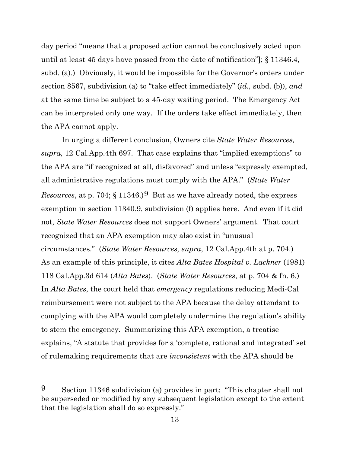day period "means that a proposed action cannot be conclusively acted upon until at least 45 days have passed from the date of notification"]; § 11346.4, subd. (a).) Obviously, it would be impossible for the Governor's orders under section 8567, subdivision (a) to "take effect immediately" (*id.,* subd. (b)), *and* at the same time be subject to a 45-day waiting period. The Emergency Act can be interpreted only one way. If the orders take effect immediately, then the APA cannot apply.

In urging a different conclusion, Owners cite *State Water Resources, supra,* 12 Cal.App.4th 697. That case explains that "implied exemptions" to the APA are "if recognized at all, disfavored" and unless "expressly exempted, all administrative regulations must comply with the APA." (*State Water Resources*, at p. 704;  $\S$  11346.)<sup>[9](#page-12-0)</sup> But as we have already noted, the express exemption in section 11340.9, subdivision (f) applies here. And even if it did not, *State Water Resources* does not support Owners' argument. That court recognized that an APA exemption may also exist in "unusual circumstances." (*State Water Resources, supra*, 12 Cal.App.4th at p. 704.) As an example of this principle, it cites *Alta Bates Hospital v. Lackner* (1981) 118 Cal.App.3d 614 (*Alta Bates*). (*State Water Resources*, at p. 704 & fn. 6.) In *Alta Bates*, the court held that *emergency* regulations reducing Medi-Cal reimbursement were not subject to the APA because the delay attendant to complying with the APA would completely undermine the regulation's ability to stem the emergency. Summarizing this APA exemption, a treatise explains, "A statute that provides for a 'complete, rational and integrated' set of rulemaking requirements that are *inconsistent* with the APA should be

<span id="page-12-0"></span><sup>9</sup> Section 11346 subdivision (a) provides in part: "This chapter shall not be superseded or modified by any subsequent legislation except to the extent that the legislation shall do so expressly."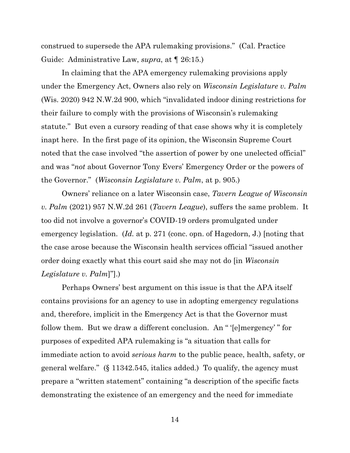construed to supersede the APA rulemaking provisions." (Cal. Practice Guide: Administrative Law, *supra*, at ¶ 26:15.)

In claiming that the APA emergency rulemaking provisions apply under the Emergency Act, Owners also rely on *Wisconsin Legislature v. Palm*  (Wis. 2020) 942 N.W.2d 900, which "invalidated indoor dining restrictions for their failure to comply with the provisions of Wisconsin's rulemaking statute." But even a cursory reading of that case shows why it is completely inapt here. In the first page of its opinion, the Wisconsin Supreme Court noted that the case involved "the assertion of power by one unelected official" and was "*not* about Governor Tony Evers' Emergency Order or the powers of the Governor." (*Wisconsin Legislature v. Palm*, at p. 905.)

Owners' reliance on a later Wisconsin case, *Tavern League of Wisconsin v. Palm* (2021) 957 N.W.2d 261 (*Tavern League*), suffers the same problem. It too did not involve a governor's COVID-19 orders promulgated under emergency legislation. (*Id.* at p. 271 (conc. opn. of Hagedorn, J.) [noting that the case arose because the Wisconsin health services official "issued another order doing exactly what this court said she may not do [in *Wisconsin Legislature v. Palm*]"].)

Perhaps Owners' best argument on this issue is that the APA itself contains provisions for an agency to use in adopting emergency regulations and, therefore, implicit in the Emergency Act is that the Governor must follow them. But we draw a different conclusion. An " '[e]mergency' " for purposes of expedited APA rulemaking is "a situation that calls for immediate action to avoid *serious harm* to the public peace, health, safety, or general welfare." (§ 11342.545, italics added.) To qualify, the agency must prepare a "written statement" containing "a description of the specific facts demonstrating the existence of an emergency and the need for immediate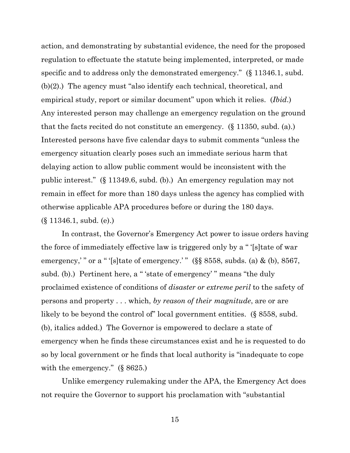action, and demonstrating by substantial evidence, the need for the proposed regulation to effectuate the statute being implemented, interpreted, or made specific and to address only the demonstrated emergency." (§ 11346.1, subd. (b)(2).) The agency must "also identify each technical, theoretical, and empirical study, report or similar document" upon which it relies. (*Ibid*.) Any interested person may challenge an emergency regulation on the ground that the facts recited do not constitute an emergency. (§ 11350, subd. (a).) Interested persons have five calendar days to submit comments "unless the emergency situation clearly poses such an immediate serious harm that delaying action to allow public comment would be inconsistent with the public interest." (§ 11349.6, subd. (b).) An emergency regulation may not remain in effect for more than 180 days unless the agency has complied with otherwise applicable APA procedures before or during the 180 days. (§ 11346.1, subd. (e).)

In contrast, the Governor's Emergency Act power to issue orders having the force of immediately effective law is triggered only by a " '[s]tate of war emergency,'" or a "'[s]tate of emergency.'" (§§ 8558, subds. (a) & (b), 8567, subd. (b).) Pertinent here, a "'state of emergency'" means "the duly proclaimed existence of conditions of *disaster or extreme peril* to the safety of persons and property . . . which, *by reason of their magnitude*, are or are likely to be beyond the control of" local government entities. (§ 8558, subd. (b), italics added.) The Governor is empowered to declare a state of emergency when he finds these circumstances exist and he is requested to do so by local government or he finds that local authority is "inadequate to cope with the emergency." (§ 8625.)

Unlike emergency rulemaking under the APA, the Emergency Act does not require the Governor to support his proclamation with "substantial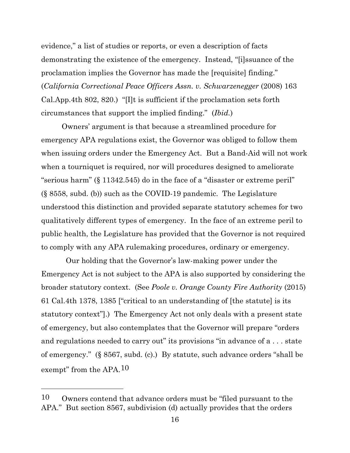evidence," a list of studies or reports, or even a description of facts demonstrating the existence of the emergency. Instead, "[i]ssuance of the proclamation implies the Governor has made the [requisite] finding." (*California Correctional Peace Officers Assn. v. Schwarzenegger* (2008) 163 Cal.App.4th 802, 820.) "[I]t is sufficient if the proclamation sets forth circumstances that support the implied finding." (*Ibid.*)

Owners' argument is that because a streamlined procedure for emergency APA regulations exist, the Governor was obliged to follow them when issuing orders under the Emergency Act. But a Band-Aid will not work when a tourniquet is required, nor will procedures designed to ameliorate "serious harm" (§ 11342.545) do in the face of a "disaster or extreme peril" (§ 8558, subd. (b)) such as the COVID-19 pandemic. The Legislature understood this distinction and provided separate statutory schemes for two qualitatively different types of emergency. In the face of an extreme peril to public health, the Legislature has provided that the Governor is not required to comply with any APA rulemaking procedures, ordinary or emergency.

 Our holding that the Governor's law-making power under the Emergency Act is not subject to the APA is also supported by considering the broader statutory context. (See *Poole v. Orange County Fire Authority* (2015) 61 Cal.4th 1378, 1385 ["critical to an understanding of [the statute] is its statutory context"].) The Emergency Act not only deals with a present state of emergency, but also contemplates that the Governor will prepare "orders and regulations needed to carry out" its provisions "in advance of a... state of emergency." (§ 8567, subd. (c).) By statute, such advance orders "shall be exempt" from the APA.<sup>10</sup>

<span id="page-15-0"></span><sup>10</sup> Owners contend that advance orders must be "filed pursuant to the APA." But section 8567, subdivision (d) actually provides that the orders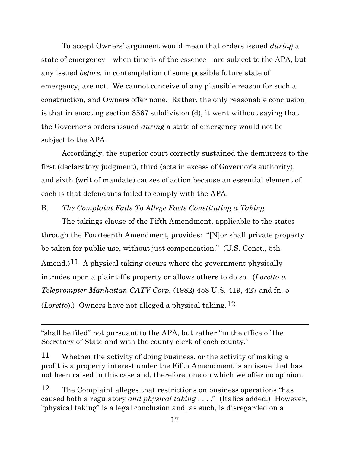To accept Owners' argument would mean that orders issued *during* a state of emergency—when time is of the essence—are subject to the APA, but any issued *before*, in contemplation of some possible future state of emergency, are not. We cannot conceive of any plausible reason for such a construction, and Owners offer none. Rather, the only reasonable conclusion is that in enacting section 8567 subdivision (d), it went without saying that the Governor's orders issued *during* a state of emergency would not be subject to the APA.

Accordingly, the superior court correctly sustained the demurrers to the first (declaratory judgment), third (acts in excess of Governor's authority), and sixth (writ of mandate) causes of action because an essential element of each is that defendants failed to comply with the APA.

### B. *The Complaint Fails To Allege Facts Constituting a Taking*

The takings clause of the Fifth Amendment, applicable to the states through the Fourteenth Amendment, provides: "[N]or shall private property be taken for public use, without just compensation." (U.S. Const., 5th Amend.)<sup>11</sup> A physical taking occurs where the government physically intrudes upon a plaintiff's property or allows others to do so. (*Loretto v. Teleprompter Manhattan CATV Corp.* (1982) 458 U.S. 419, 427 and fn. 5 (*Loretto*).) Owners have not alleged a physical taking.[12](#page-16-1)

"shall be filed" not pursuant to the APA, but rather "in the office of the Secretary of State and with the county clerk of each county."

<span id="page-16-0"></span>11 Whether the activity of doing business, or the activity of making a profit is a property interest under the Fifth Amendment is an issue that has not been raised in this case and, therefore, one on which we offer no opinion.

<span id="page-16-1"></span>12 The Complaint alleges that restrictions on business operations "has caused both a regulatory *and physical taking* . . . ." (Italics added.) However, "physical taking" is a legal conclusion and, as such, is disregarded on a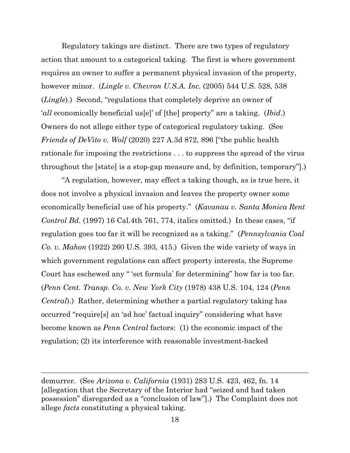Regulatory takings are distinct. There are two types of regulatory action that amount to a categorical taking. The first is where government requires an owner to suffer a permanent physical invasion of the property, however minor. (*Lingle v. Chevron U.S.A. Inc.* (2005) 544 U.S. 528, 538 (*Lingle*).) Second, "regulations that completely deprive an owner of '*all* economically beneficial us[e]' of [the] property" are a taking. (*Ibid*.) Owners do not allege either type of categorical regulatory taking. (See *Friends of DeVito v. Wolf* (2020) 227 A.3d 872, 896 ["the public health rationale for imposing the restrictions . . . to suppress the spread of the virus throughout the [state] is a stop-gap measure and, by definition, temporary"].)

"A regulation, however, may effect a taking though, as is true here, it does not involve a physical invasion and leaves the property owner some economically beneficial use of his property." (*Kavanau v. Santa Monica Rent Control Bd.* (1997) 16 Cal.4th 761, 774, italics omitted.) In these cases, "if regulation goes too far it will be recognized as a taking." (*Pennsylvania Coal Co. v. Mahon* (1922) 260 U.S. 393, 415.) Given the wide variety of ways in which government regulations can affect property interests, the Supreme Court has eschewed any " 'set formula' for determining" how far is too far. (*Penn Cent. Transp. Co. v. New York City* (1978) 438 U.S. 104, 124 (*Penn Central*).) Rather, determining whether a partial regulatory taking has occurred "require[s] an 'ad hoc' factual inquiry" considering what have become known as *Penn Central* factors: (1) the economic impact of the regulation; (2) its interference with reasonable investment-backed

demurrer. (See *Arizona v. California* (1931) 283 U.S. 423, 462, fn. 14 [allegation that the Secretary of the Interior had "seized and had taken possession" disregarded as a "conclusion of law"].) The Complaint does not allege *facts* constituting a physical taking.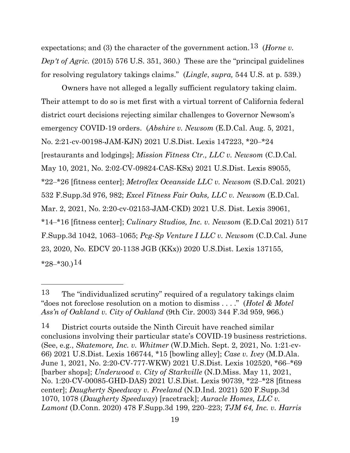expectations; and (3) the character of the government action.[13](#page-18-0) (*Horne v. Dep't of Agric.* (2015) 576 U.S. 351, 360.) These are the "principal guidelines for resolving regulatory takings claims." (*Lingle*, *supra,* 544 U.S. at p. 539.)

Owners have not alleged a legally sufficient regulatory taking claim. Their attempt to do so is met first with a virtual torrent of California federal district court decisions rejecting similar challenges to Governor Newsom's emergency COVID-19 orders. (*Abshire v. Newsom* (E.D.Cal. Aug. 5, 2021, No. 2:21-cv-00198-JAM-KJN) 2021 U.S.Dist. Lexis 147223, \*20‒\*24 [restaurants and lodgings]; *Mission Fitness Ctr., LLC v. Newsom* (C.D.Cal. May 10, 2021, No. 2:02-CV-09824-CAS-KSx) 2021 U.S.Dist. Lexis 89055, \*22‒\*26 [fitness center]; *Metroflex Oceanside LLC v. Newsom* (S.D.Cal. 2021) 532 F.Supp.3d 976, 982; *Excel Fitness Fair Oaks, LLC v. Newsom* (E.D.Cal. Mar. 2, 2021, No. 2:20-cv-02153-JAM-CKD) 2021 U.S. Dist. Lexis 39061, \*14‒\*16 [fitness center]; *Culinary Studios, Inc. v. Newsom* (E.D.Cal 2021) 517 F.Supp.3d 1042, 1063‒1065; *Pcg-Sp Venture I LLC v. Newsom* (C.D.Cal. June 23, 2020, No. EDCV 20-1138 JGB (KKx)) 2020 U.S.Dist. Lexis 137155,  $*28-*30.14$  $*28-*30.14$ 

<span id="page-18-0"></span><sup>13</sup> The "individualized scrutiny" required of a regulatory takings claim "does not foreclose resolution on a motion to dismiss . . . ." (*Hotel & Motel Ass'n of Oakland v. City of Oakland* (9th Cir. 2003) 344 F.3d 959, 966.)

<span id="page-18-1"></span><sup>14</sup> District courts outside the Ninth Circuit have reached similar conclusions involving their particular state's COVID-19 business restrictions. (See, e.g., *Skatemore, Inc. v. Whitmer* (W.D.Mich. Sept. 2, 2021, No. 1:21-cv-66) 2021 U.S.Dist. Lexis 166744, \*15 [bowling alley]; *Case v. Ivey* (M.D.Ala. June 1, 2021, No. 2:20-CV-777-WKW) 2021 U.S.Dist. Lexis 102520, \*66‒\*69 [barber shops]; *Underwood v. City of Starkville* (N.D.Miss. May 11, 2021, No. 1:20-CV-00085-GHD-DAS) 2021 U.S.Dist. Lexis 90739, \*22‒\*28 [fitness center]; *Daugherty Speedway v. Freeland* (N.D.Ind. 2021) 520 F.Supp.3d 1070, 1078 (*Daugherty Speedway*) [racetrack]; *Auracle Homes, LLC v. Lamont* (D.Conn. 2020) 478 F.Supp.3d 199, 220‒223; *TJM 64, Inc. v. Harris*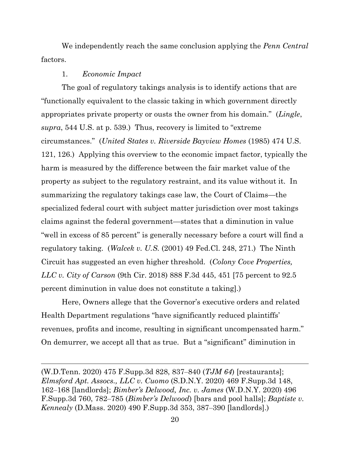We independently reach the same conclusion applying the *Penn Central*  factors.

#### 1. *Economic Impact*

The goal of regulatory takings analysis is to identify actions that are "functionally equivalent to the classic taking in which government directly appropriates private property or ousts the owner from his domain." (*Lingle*, *supra*, 544 U.S. at p. 539.) Thus, recovery is limited to "extreme circumstances." (*United States v. Riverside Bayview Homes* (1985) 474 U.S. 121, 126.) Applying this overview to the economic impact factor, typically the harm is measured by the difference between the fair market value of the property as subject to the regulatory restraint, and its value without it. In summarizing the regulatory takings case law, the Court of Claims—the specialized federal court with subject matter jurisdiction over most takings claims against the federal government—states that a diminution in value "well in excess of 85 percent" is generally necessary before a court will find a regulatory taking. (*Walcek v. U.S.* (2001) 49 Fed.Cl. 248, 271.) The Ninth Circuit has suggested an even higher threshold. (*Colony Cove Properties, LLC v. City of Carson* (9th Cir. 2018) 888 F.3d 445, 451 [75 percent to 92.5 percent diminution in value does not constitute a taking].)

Here, Owners allege that the Governor's executive orders and related Health Department regulations "have significantly reduced plaintiffs' revenues, profits and income, resulting in significant uncompensated harm." On demurrer, we accept all that as true. But a "significant" diminution in

<sup>(</sup>W.D.Tenn. 2020) 475 F.Supp.3d 828, 837‒840 (*TJM 64*) [restaurants]; *Elmsford Apt. Assocs., LLC v. Cuomo* (S.D.N.Y. 2020) 469 F.Supp.3d 148, 162‒168 [landlords]; *Bimber's Delwood, Inc. v. James* (W.D.N.Y. 2020) 496 F.Supp.3d 760, 782‒785 (*Bimber's Delwood*) [bars and pool halls]; *Baptiste v. Kennealy* (D.Mass. 2020) 490 F.Supp.3d 353, 387‒390 [landlords].)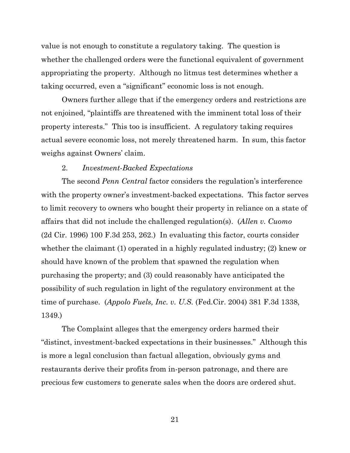value is not enough to constitute a regulatory taking. The question is whether the challenged orders were the functional equivalent of government appropriating the property. Although no litmus test determines whether a taking occurred, even a "significant" economic loss is not enough.

Owners further allege that if the emergency orders and restrictions are not enjoined, "plaintiffs are threatened with the imminent total loss of their property interests." This too is insufficient. A regulatory taking requires actual severe economic loss, not merely threatened harm. In sum, this factor weighs against Owners' claim.

#### 2. *Investment-Backed Expectations*

The second *Penn Central* factor considers the regulation's interference with the property owner's investment-backed expectations. This factor serves to limit recovery to owners who bought their property in reliance on a state of affairs that did not include the challenged regulation(s). (*Allen v. Cuomo*  (2d Cir. 1996) 100 F.3d 253, 262.) In evaluating this factor, courts consider whether the claimant (1) operated in a highly regulated industry; (2) knew or should have known of the problem that spawned the regulation when purchasing the property; and (3) could reasonably have anticipated the possibility of such regulation in light of the regulatory environment at the time of purchase. (*Appolo Fuels, Inc. v. U.S.* (Fed.Cir. 2004) 381 F.3d 1338, 1349.)

The Complaint alleges that the emergency orders harmed their "distinct, investment-backed expectations in their businesses." Although this is more a legal conclusion than factual allegation, obviously gyms and restaurants derive their profits from in-person patronage, and there are precious few customers to generate sales when the doors are ordered shut.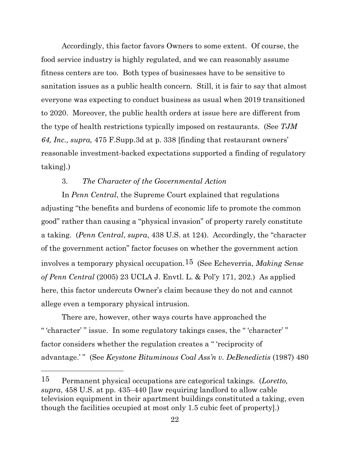Accordingly, this factor favors Owners to some extent. Of course, the food service industry is highly regulated, and we can reasonably assume fitness centers are too. Both types of businesses have to be sensitive to sanitation issues as a public health concern. Still, it is fair to say that almost everyone was expecting to conduct business as usual when 2019 transitioned to 2020. Moreover, the public health orders at issue here are different from the type of health restrictions typically imposed on restaurants. (See *TJM 64, Inc., supra,* 475 F.Supp.3d at p. 338 [finding that restaurant owners' reasonable investment-backed expectations supported a finding of regulatory taking].)

#### 3. *The Character of the Governmental Action*

In *Penn Central*, the Supreme Court explained that regulations adjusting "the benefits and burdens of economic life to promote the common good" rather than causing a "physical invasion" of property rarely constitute a taking. (*Penn Central*, *supra*, 438 U.S. at 124). Accordingly, the "character of the government action" factor focuses on whether the government action involves a temporary physical occupation.[15](#page-21-0) (See Echeverria, *Making Sense of Penn Central* (2005) 23 UCLA J. Envtl. L. & Pol'y 171, 202.) As applied here, this factor undercuts Owner's claim because they do not and cannot allege even a temporary physical intrusion.

There are, however, other ways courts have approached the " 'character' " issue. In some regulatory takings cases, the " 'character' " factor considers whether the regulation creates a " 'reciprocity of advantage.'" (See *Keystone Bituminous Coal Ass'n v. DeBenedictis* (1987) 480

<span id="page-21-0"></span><sup>15</sup> Permanent physical occupations are categorical takings. (*Loretto, supra*, 458 U.S. at pp. 435‒440 [law requiring landlord to allow cable television equipment in their apartment buildings constituted a taking, even though the facilities occupied at most only 1.5 cubic feet of property].)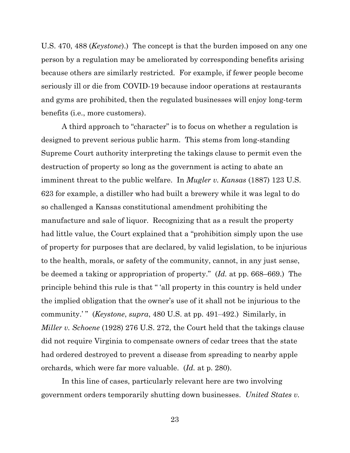U.S. 470, 488 (*Keystone*).) The concept is that the burden imposed on any one person by a regulation may be ameliorated by corresponding benefits arising because others are similarly restricted. For example, if fewer people become seriously ill or die from COVID-19 because indoor operations at restaurants and gyms are prohibited, then the regulated businesses will enjoy long-term benefits (i.e., more customers).

A third approach to "character" is to focus on whether a regulation is designed to prevent serious public harm. This stems from long-standing Supreme Court authority interpreting the takings clause to permit even the destruction of property so long as the government is acting to abate an imminent threat to the public welfare. In *Mugler v. Kansas* (1887) 123 U.S. 623 for example, a distiller who had built a brewery while it was legal to do so challenged a Kansas constitutional amendment prohibiting the manufacture and sale of liquor. Recognizing that as a result the property had little value, the Court explained that a "prohibition simply upon the use of property for purposes that are declared, by valid legislation, to be injurious to the health, morals, or safety of the community, cannot, in any just sense, be deemed a taking or appropriation of property." (*Id.* at pp. 668–669.) The principle behind this rule is that " 'all property in this country is held under the implied obligation that the owner's use of it shall not be injurious to the community.'" (*Keystone, supra,* 480 U.S. at pp. 491–492.) Similarly, in *Miller v. Schoene* (1928) 276 U.S. 272, the Court held that the takings clause did not require Virginia to compensate owners of cedar trees that the state had ordered destroyed to prevent a disease from spreading to nearby apple orchards, which were far more valuable. (*Id.* at p. 280).

In this line of cases, particularly relevant here are two involving government orders temporarily shutting down businesses. *United States v.*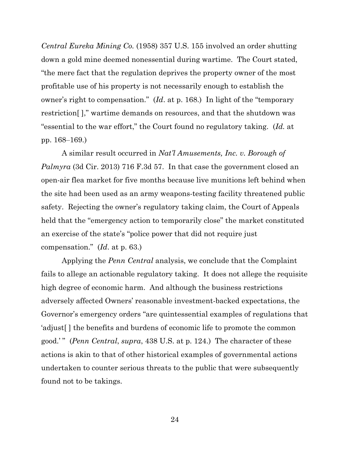*Central Eureka Mining Co.* (1958) 357 U.S. 155 involved an order shutting down a gold mine deemed nonessential during wartime. The Court stated, "the mere fact that the regulation deprives the property owner of the most profitable use of his property is not necessarily enough to establish the owner's right to compensation." (*Id*. at p. 168.) In light of the "temporary restriction[ ]," wartime demands on resources, and that the shutdown was "essential to the war effort," the Court found no regulatory taking. (*Id.* at pp. 168‒169.)

A similar result occurred in *Nat'l Amusements, Inc. v. Borough of Palmyra* (3d Cir. 2013) 716 F.3d 57. In that case the government closed an open-air flea market for five months because live munitions left behind when the site had been used as an army weapons-testing facility threatened public safety. Rejecting the owner's regulatory taking claim, the Court of Appeals held that the "emergency action to temporarily close" the market constituted an exercise of the state's "police power that did not require just compensation." (*Id*. at p. 63.)

Applying the *Penn Central* analysis, we conclude that the Complaint fails to allege an actionable regulatory taking. It does not allege the requisite high degree of economic harm. And although the business restrictions adversely affected Owners' reasonable investment-backed expectations, the Governor's emergency orders "are quintessential examples of regulations that 'adjust[ ] the benefits and burdens of economic life to promote the common good.' " (*Penn Central*, *supra*, 438 U.S. at p. 124.) The character of these actions is akin to that of other historical examples of governmental actions undertaken to counter serious threats to the public that were subsequently found not to be takings.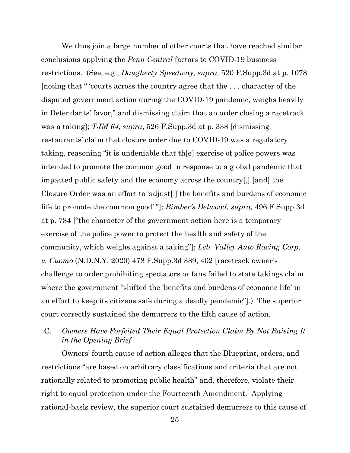We thus join a large number of other courts that have reached similar conclusions applying the *Penn Central* factors to COVID-19 business restrictions. (See, e.g., *Daugherty Speedway, supra,* 520 F.Supp.3d at p. 1078 [noting that " 'courts across the country agree that the . . . character of the disputed government action during the COVID-19 pandemic, weighs heavily in Defendants' favor," and dismissing claim that an order closing a racetrack was a taking]; *TJM 64*, *supra*, 526 F.Supp.3d at p. 338 [dismissing restaurants' claim that closure order due to COVID-19 was a regulatory taking, reasoning "it is undeniable that th[e] exercise of police powers was intended to promote the common good in response to a global pandemic that impacted public safety and the economy across the country[,] [and] the Closure Order was an effort to 'adjust[ ] the benefits and burdens of economic life to promote the common good' "]; *Bimber's Delwood, supra,* 496 F.Supp.3d at p. 784 ["the character of the government action here is a temporary exercise of the police power to protect the health and safety of the community, which weighs against a taking"]; *Leb. Valley Auto Racing Corp. v. Cuomo* (N.D.N.Y. 2020) 478 F.Supp.3d 389, 402 [racetrack owner's challenge to order prohibiting spectators or fans failed to state takings claim where the government "shifted the 'benefits and burdens of economic life' in an effort to keep its citizens safe during a deadly pandemic"].) The superior court correctly sustained the demurrers to the fifth cause of action.

## C. *Owners Have Forfeited Their Equal Protection Claim By Not Raising It in the Opening Brief*

Owners' fourth cause of action alleges that the Blueprint, orders, and restrictions "are based on arbitrary classifications and criteria that are not rationally related to promoting public health" and, therefore, violate their right to equal protection under the Fourteenth Amendment. Applying rational-basis review, the superior court sustained demurrers to this cause of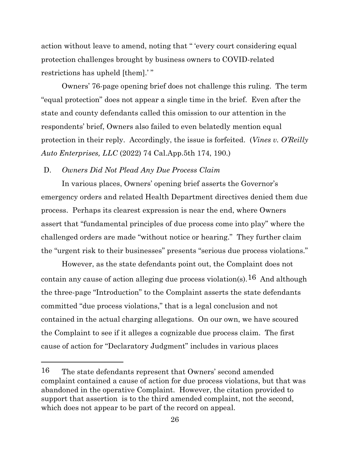action without leave to amend, noting that " 'every court considering equal protection challenges brought by business owners to COVID-related restrictions has upheld [them].' "

Owners' 76-page opening brief does not challenge this ruling. The term "equal protection" does not appear a single time in the brief. Even after the state and county defendants called this omission to our attention in the respondents' brief, Owners also failed to even belatedly mention equal protection in their reply. Accordingly, the issue is forfeited. (*Vines v. O'Reilly Auto Enterprises, LLC* (2022) 74 Cal.App.5th 174, 190.)

## D. *Owners Did Not Plead Any Due Process Claim*

In various places, Owners' opening brief asserts the Governor's emergency orders and related Health Department directives denied them due process. Perhaps its clearest expression is near the end, where Owners assert that "fundamental principles of due process come into play" where the challenged orders are made "without notice or hearing." They further claim the "urgent risk to their businesses" presents "serious due process violations."

However, as the state defendants point out, the Complaint does not contain any cause of action alleging due process violation(s).<sup>[16](#page-25-0)</sup> And although the three-page "Introduction" to the Complaint asserts the state defendants committed "due process violations," that is a legal conclusion and not contained in the actual charging allegations. On our own, we have scoured the Complaint to see if it alleges a cognizable due process claim. The first cause of action for "Declaratory Judgment" includes in various places

<span id="page-25-0"></span><sup>16</sup> The state defendants represent that Owners' second amended complaint contained a cause of action for due process violations, but that was abandoned in the operative Complaint. However, the citation provided to support that assertion is to the third amended complaint, not the second, which does not appear to be part of the record on appeal.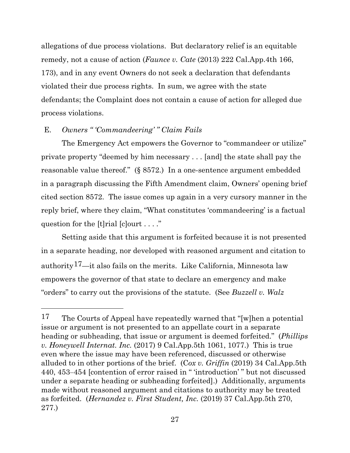allegations of due process violations. But declaratory relief is an equitable remedy, not a cause of action (*Faunce v. Cate* (2013) 222 Cal.App.4th 166, 173), and in any event Owners do not seek a declaration that defendants violated their due process rights. In sum, we agree with the state defendants; the Complaint does not contain a cause of action for alleged due process violations.

## E. *Owners " 'Commandeering' " Claim Fails*

The Emergency Act empowers the Governor to "commandeer or utilize" private property "deemed by him necessary . . . [and] the state shall pay the reasonable value thereof." (§ 8572.) In a one-sentence argument embedded in a paragraph discussing the Fifth Amendment claim, Owners' opening brief cited section 8572. The issue comes up again in a very cursory manner in the reply brief, where they claim, "What constitutes 'commandeering' is a factual question for the [t]rial [c]ourt . . . ."

Setting aside that this argument is forfeited because it is not presented in a separate heading, nor developed with reasoned argument and citation to authority<sup>17</sup>—it also fails on the merits. Like California, Minnesota law empowers the governor of that state to declare an emergency and make "orders" to carry out the provisions of the statute. (See *Buzzell v. Walz* 

<span id="page-26-0"></span><sup>17</sup> The Courts of Appeal have repeatedly warned that "[w]hen a potential issue or argument is not presented to an appellate court in a separate heading or subheading, that issue or argument is deemed forfeited." (*Phillips v. Honeywell Internat. Inc.* (2017) 9 Cal.App.5th 1061, 1077.) This is true even where the issue may have been referenced, discussed or otherwise alluded to in other portions of the brief. (C*ox v. Griffin* (2019) 34 Cal.App.5th 440, 453‒454 [contention of error raised in " 'introduction' " but not discussed under a separate heading or subheading forfeited].) Additionally, arguments made without reasoned argument and citations to authority may be treated as forfeited. (*Hernandez v. First Student, Inc.* (2019) 37 Cal.App.5th 270, 277.)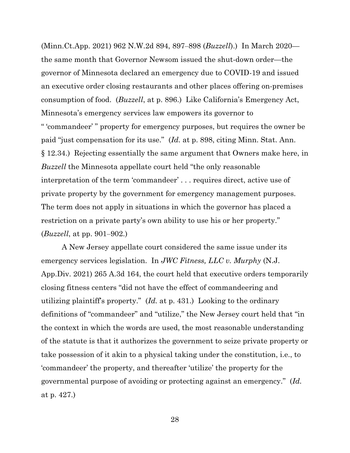(Minn.Ct.App. 2021) 962 N.W.2d 894, 897‒898 (*Buzzell*).) In March 2020 the same month that Governor Newsom issued the shut-down order—the governor of Minnesota declared an emergency due to COVID-19 and issued an executive order closing restaurants and other places offering on-premises consumption of food. (*Buzzell*, at p. 896.) Like California's Emergency Act, Minnesota's emergency services law empowers its governor to " 'commandeer' " property for emergency purposes, but requires the owner be paid "just compensation for its use." (*Id.* at p. 898, citing Minn. Stat. Ann. § 12.34.) Rejecting essentially the same argument that Owners make here, in *Buzzell* the Minnesota appellate court held "the only reasonable interpretation of the term 'commandeer' . . . requires direct, active use of private property by the government for emergency management purposes. The term does not apply in situations in which the governor has placed a restriction on a private party's own ability to use his or her property." (*Buzzell*, at pp. 901‒902.)

A New Jersey appellate court considered the same issue under its emergency services legislation. In *JWC Fitness, LLC v. Murphy* (N.J. App.Div. 2021) 265 A.3d 164, the court held that executive orders temporarily closing fitness centers "did not have the effect of commandeering and utilizing plaintiff's property." (*Id.* at p. 431.) Looking to the ordinary definitions of "commandeer" and "utilize," the New Jersey court held that "in the context in which the words are used, the most reasonable understanding of the statute is that it authorizes the government to seize private property or take possession of it akin to a physical taking under the constitution, i.e., to 'commandeer' the property, and thereafter 'utilize' the property for the governmental purpose of avoiding or protecting against an emergency." (*Id.* at p. 427.)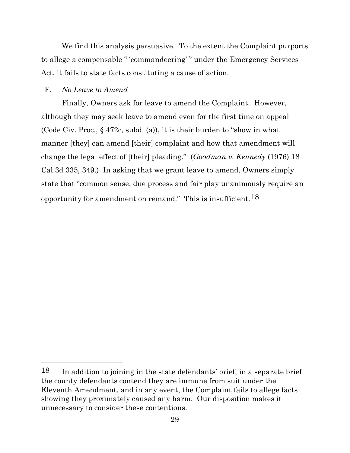We find this analysis persuasive. To the extent the Complaint purports to allege a compensable " 'commandeering' " under the Emergency Services Act, it fails to state facts constituting a cause of action.

#### F. *No Leave to Amend*

Finally, Owners ask for leave to amend the Complaint. However, although they may seek leave to amend even for the first time on appeal (Code Civ. Proc., § 472c, subd. (a)), it is their burden to "show in what manner [they] can amend [their] complaint and how that amendment will change the legal effect of [their] pleading." (*Goodman v. Kennedy* (1976) 18 Cal.3d 335, 349.) In asking that we grant leave to amend, Owners simply state that "common sense, due process and fair play unanimously require an opportunity for amendment on remand." This is insufficient.  $18$ 

<span id="page-28-0"></span> $18$  In addition to joining in the state defendants' brief, in a separate brief the county defendants contend they are immune from suit under the Eleventh Amendment, and in any event, the Complaint fails to allege facts showing they proximately caused any harm. Our disposition makes it unnecessary to consider these contentions.